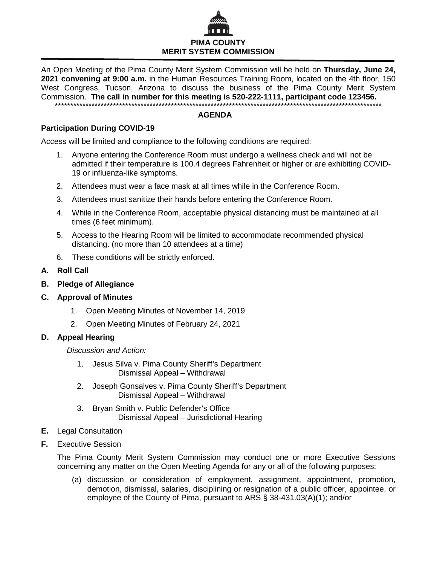

An Open Meeting of the Pima County Merit System Commission will be held on **Thursday, June 24, 2021 convening at 9:00 a.m.** in the Human Resources Training Room, located on the 4th floor, 150 West Congress, Tucson, Arizona to discuss the business of the Pima County Merit System Commission. **The call in number for this meeting is 520-222-1111, participant code 123456.** \*\*\*\*\*\*\*\*\*\*\*\*\*\*\*\*\*\*\*\*\*\*\*\*\*\*\*\*\*\*\*\*\*\*\*\*\*\*\*\*\*\*\*\*\*\*\*\*\*\*\*\*\*\*\*\*\*\*\*\*\*\*\*\*\*\*\*\*\*\*\*\*\*\*\*\*\*\*\*\*\*\*\*\*\*\*\*\*\*\*\*\*\*\*\*\*\*\*\*\*\*\*\*\*\*\*\*

## **AGENDA**

## **Participation During COVID-19**

Access will be limited and compliance to the following conditions are required:

- 1. Anyone entering the Conference Room must undergo a wellness check and will not be admitted if their temperature is 100.4 degrees Fahrenheit or higher or are exhibiting COVID-19 or influenza-like symptoms.
- 2. Attendees must wear a face mask at all times while in the Conference Room.
- 3. Attendees must sanitize their hands before entering the Conference Room.
- 4. While in the Conference Room, acceptable physical distancing must be maintained at all times (6 feet minimum).
- 5. Access to the Hearing Room will be limited to accommodate recommended physical distancing. (no more than 10 attendees at a time)
- 6. These conditions will be strictly enforced.
- **A. Roll Call**
- **B. Pledge of Allegiance**
- **C. Approval of Minutes**
	- 1. Open Meeting Minutes of November 14, 2019
	- 2. Open Meeting Minutes of February 24, 2021

## **D. Appeal Hearing**

*Discussion and Action:*

- 1. Jesus Silva v. Pima County Sheriff's Department Dismissal Appeal – Withdrawal
- 2. Joseph Gonsalves v. Pima County Sheriff's Department Dismissal Appeal – Withdrawal
- 3. Bryan Smith v. Public Defender's Office Dismissal Appeal – Jurisdictional Hearing
- **E.** Legal Consultation
- **F.** Executive Session

The Pima County Merit System Commission may conduct one or more Executive Sessions concerning any matter on the Open Meeting Agenda for any or all of the following purposes:

(a) discussion or consideration of employment, assignment, appointment, promotion, demotion, dismissal, salaries, disciplining or resignation of a public officer, appointee, or employee of the County of Pima, pursuant to ARS § 38-431.03(A)(1); and/or